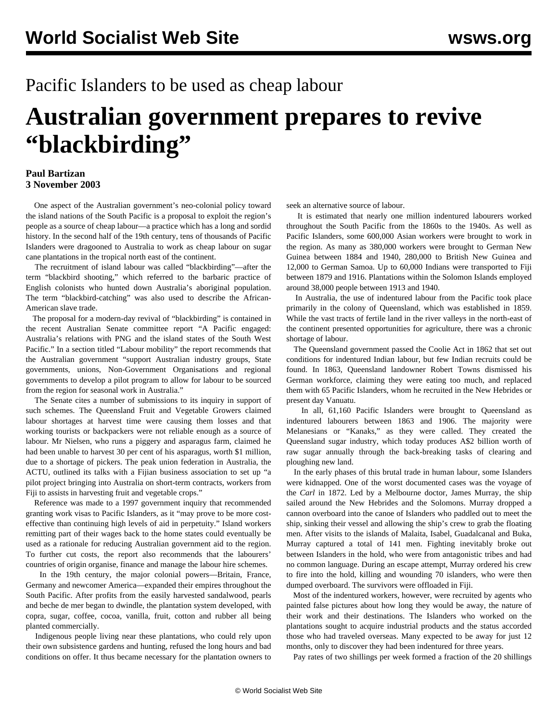## Pacific Islanders to be used as cheap labour

# **Australian government prepares to revive "blackbirding"**

#### **Paul Bartizan 3 November 2003**

 One aspect of the Australian government's neo-colonial policy toward the island nations of the South Pacific is a proposal to exploit the region's people as a source of cheap labour—a practice which has a long and sordid history. In the second half of the 19th century, tens of thousands of Pacific Islanders were dragooned to Australia to work as cheap labour on sugar cane plantations in the tropical north east of the continent.

 The recruitment of island labour was called "blackbirding"—after the term "blackbird shooting," which referred to the barbaric practice of English colonists who hunted down Australia's aboriginal population. The term "blackbird-catching" was also used to describe the African-American slave trade.

 The proposal for a modern-day revival of "blackbirding" is contained in the recent Australian Senate committee report "A Pacific engaged: Australia's relations with PNG and the island states of the South West Pacific." In a section titled "Labour mobility" the report recommends that the Australian government "support Australian industry groups, State governments, unions, Non-Government Organisations and regional governments to develop a pilot program to allow for labour to be sourced from the region for seasonal work in Australia."

 The Senate cites a number of submissions to its inquiry in support of such schemes. The Queensland Fruit and Vegetable Growers claimed labour shortages at harvest time were causing them losses and that working tourists or backpackers were not reliable enough as a source of labour. Mr Nielsen, who runs a piggery and asparagus farm, claimed he had been unable to harvest 30 per cent of his asparagus, worth \$1 million, due to a shortage of pickers. The peak union federation in Australia, the ACTU, outlined its talks with a Fijian business association to set up "a pilot project bringing into Australia on short-term contracts, workers from Fiji to assists in harvesting fruit and vegetable crops."

 Reference was made to a 1997 government inquiry that recommended granting work visas to Pacific Islanders, as it "may prove to be more costeffective than continuing high levels of aid in perpetuity." Island workers remitting part of their wages back to the home states could eventually be used as a rationale for reducing Australian government aid to the region. To further cut costs, the report also recommends that the labourers' countries of origin organise, finance and manage the labour hire schemes.

 In the 19th century, the major colonial powers—Britain, France, Germany and newcomer America—expanded their empires throughout the South Pacific. After profits from the easily harvested sandalwood, pearls and beche de mer began to dwindle, the plantation system developed, with copra, sugar, coffee, cocoa, vanilla, fruit, cotton and rubber all being planted commercially.

 Indigenous people living near these plantations, who could rely upon their own subsistence gardens and hunting, refused the long hours and bad conditions on offer. It thus became necessary for the plantation owners to

seek an alternative source of labour.

 It is estimated that nearly one million indentured labourers worked throughout the South Pacific from the 1860s to the 1940s. As well as Pacific Islanders, some 600,000 Asian workers were brought to work in the region. As many as 380,000 workers were brought to German New Guinea between 1884 and 1940, 280,000 to British New Guinea and 12,000 to German Samoa. Up to 60,000 Indians were transported to Fiji between 1879 and 1916. Plantations within the Solomon Islands employed around 38,000 people between 1913 and 1940.

 In Australia, the use of indentured labour from the Pacific took place primarily in the colony of Queensland, which was established in 1859. While the vast tracts of fertile land in the river valleys in the north-east of the continent presented opportunities for agriculture, there was a chronic shortage of labour.

 The Queensland government passed the Coolie Act in 1862 that set out conditions for indentured Indian labour, but few Indian recruits could be found. In 1863, Queensland landowner Robert Towns dismissed his German workforce, claiming they were eating too much, and replaced them with 65 Pacific Islanders, whom he recruited in the New Hebrides or present day Vanuatu.

 In all, 61,160 Pacific Islanders were brought to Queensland as indentured labourers between 1863 and 1906. The majority were Melanesians or "Kanaks," as they were called. They created the Queensland sugar industry, which today produces A\$2 billion worth of raw sugar annually through the back-breaking tasks of clearing and ploughing new land.

 In the early phases of this brutal trade in human labour, some Islanders were kidnapped. One of the worst documented cases was the voyage of the *Carl* in 1872. Led by a Melbourne doctor, James Murray, the ship sailed around the New Hebrides and the Solomons. Murray dropped a cannon overboard into the canoe of Islanders who paddled out to meet the ship, sinking their vessel and allowing the ship's crew to grab the floating men. After visits to the islands of Malaita, Isabel, Guadalcanal and Buka, Murray captured a total of 141 men. Fighting inevitably broke out between Islanders in the hold, who were from antagonistic tribes and had no common language. During an escape attempt, Murray ordered his crew to fire into the hold, killing and wounding 70 islanders, who were then dumped overboard. The survivors were offloaded in Fiji.

 Most of the indentured workers, however, were recruited by agents who painted false pictures about how long they would be away, the nature of their work and their destinations. The Islanders who worked on the plantations sought to acquire industrial products and the status accorded those who had traveled overseas. Many expected to be away for just 12 months, only to discover they had been indentured for three years.

Pay rates of two shillings per week formed a fraction of the 20 shillings